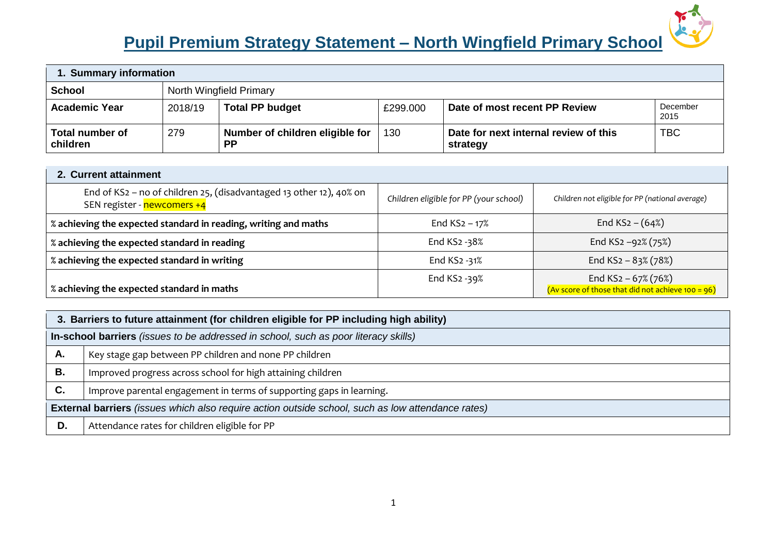# **Pupil Premium Strategy Statement – North Wingfield Primary School**



| 1. Summary information      |                         |                                              |          |                                                   |                  |  |
|-----------------------------|-------------------------|----------------------------------------------|----------|---------------------------------------------------|------------------|--|
| <b>School</b>               | North Wingfield Primary |                                              |          |                                                   |                  |  |
| <b>Academic Year</b>        | 2018/19                 | <b>Total PP budget</b>                       | £299,000 | Date of most recent PP Review                     | December<br>2015 |  |
| Total number of<br>children | 279                     | Number of children eligible for<br><b>PP</b> | 130      | Date for next internal review of this<br>strategy | <b>TBC</b>       |  |

## **2. Current attainment**  End of KS2 – no of children 25, (disadvantaged 13 other 12), 40% on SEN register - newcomers +4 *Children eligible for PP (your school) Children not eligible for PP (national average)*  **% achieving the expected standard in reading, writing and maths** End KS2 – 17% End KS2 – (64%) **% achieving the expected standard in reading** End KS2 -38% End KS2 –92% (75%) **% achieving the expected standard in writing** End KS2 -31% End KS2 – 83% (78%) **% achieving the expected standard in maths** End KS2 -39% End KS2 – 67% (76%) (Av score of those that did not achieve 100 = 96)

|    | 3. Barriers to future attainment (for children eligible for PP including high ability)                   |  |  |  |  |
|----|----------------------------------------------------------------------------------------------------------|--|--|--|--|
|    | In-school barriers (issues to be addressed in school, such as poor literacy skills)                      |  |  |  |  |
| А. | Key stage gap between PP children and none PP children                                                   |  |  |  |  |
| В. | Improved progress across school for high attaining children                                              |  |  |  |  |
| C. | Improve parental engagement in terms of supporting gaps in learning.                                     |  |  |  |  |
|    | <b>External barriers</b> (issues which also require action outside school, such as low attendance rates) |  |  |  |  |
| D. | Attendance rates for children eligible for PP                                                            |  |  |  |  |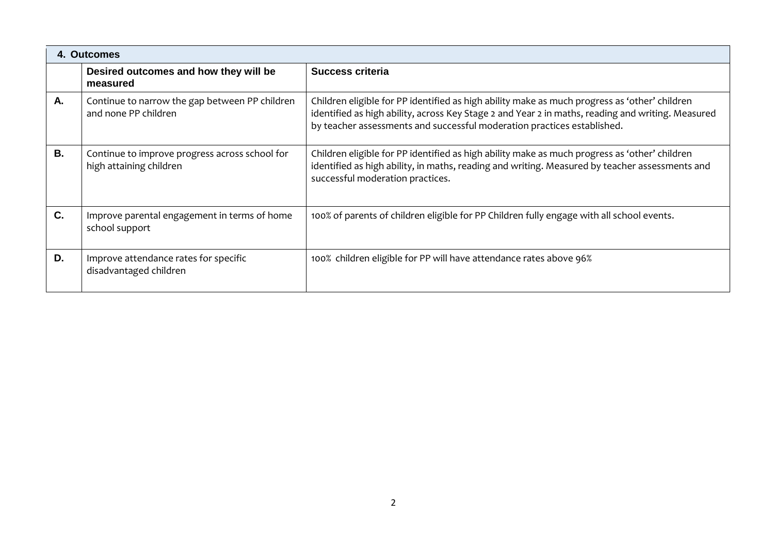|           | 4. Outcomes                                                               |                                                                                                                                                                                                                                                                               |
|-----------|---------------------------------------------------------------------------|-------------------------------------------------------------------------------------------------------------------------------------------------------------------------------------------------------------------------------------------------------------------------------|
|           | Desired outcomes and how they will be<br>measured                         | Success criteria                                                                                                                                                                                                                                                              |
| А.        | Continue to narrow the gap between PP children<br>and none PP children    | Children eligible for PP identified as high ability make as much progress as 'other' children<br>identified as high ability, across Key Stage 2 and Year 2 in maths, reading and writing. Measured<br>by teacher assessments and successful moderation practices established. |
| <b>B.</b> | Continue to improve progress across school for<br>high attaining children | Children eligible for PP identified as high ability make as much progress as 'other' children<br>identified as high ability, in maths, reading and writing. Measured by teacher assessments and<br>successful moderation practices.                                           |
| C.        | Improve parental engagement in terms of home<br>school support            | 100% of parents of children eligible for PP Children fully engage with all school events.                                                                                                                                                                                     |
| D.        | Improve attendance rates for specific<br>disadvantaged children           | 100% children eligible for PP will have attendance rates above 96%                                                                                                                                                                                                            |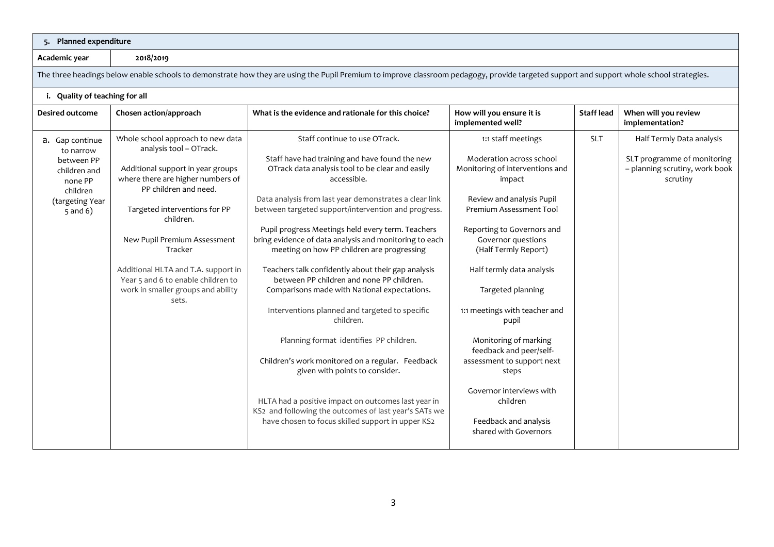### **5. Planned expenditure**

**Academic year 2018/2019**

The three headings below enable schools to demonstrate how they are using the Pupil Premium to improve classroom pedagogy, provide targeted support and support whole school strategies.

### **i. Quality of teaching for all**

| <b>Desired outcome</b>                            | Chosen action/approach                                                                                          | What is the evidence and rationale for this choice?                                                                                                       | How will you ensure it is<br>implemented well?                           | <b>Staff lead</b> | When will you review<br>implementation?                                   |
|---------------------------------------------------|-----------------------------------------------------------------------------------------------------------------|-----------------------------------------------------------------------------------------------------------------------------------------------------------|--------------------------------------------------------------------------|-------------------|---------------------------------------------------------------------------|
| a. Gap continue<br>to narrow                      | Whole school approach to new data<br>analysis tool - OTrack.                                                    | Staff continue to use OTrack.                                                                                                                             | 1:1 staff meetings                                                       | <b>SLT</b>        | Half Termly Data analysis                                                 |
| between PP<br>children and<br>none PP<br>children | Additional support in year groups<br>where there are higher numbers of<br>PP children and need.                 | Staff have had training and have found the new<br>OTrack data analysis tool to be clear and easily<br>accessible.                                         | Moderation across school<br>Monitoring of interventions and<br>impact    |                   | SLT programme of monitoring<br>- planning scrutiny, work book<br>scrutiny |
| (targeting Year<br>$5$ and $6)$                   | Targeted interventions for PP<br>children.                                                                      | Data analysis from last year demonstrates a clear link<br>between targeted support/intervention and progress.                                             | Review and analysis Pupil<br>Premium Assessment Tool                     |                   |                                                                           |
|                                                   | New Pupil Premium Assessment<br>Tracker                                                                         | Pupil progress Meetings held every term. Teachers<br>bring evidence of data analysis and monitoring to each<br>meeting on how PP children are progressing | Reporting to Governors and<br>Governor questions<br>(Half Termly Report) |                   |                                                                           |
|                                                   | Additional HLTA and T.A. support in<br>Year 5 and 6 to enable children to<br>work in smaller groups and ability | Teachers talk confidently about their gap analysis<br>between PP children and none PP children.                                                           | Half termly data analysis<br>Targeted planning                           |                   |                                                                           |
|                                                   | sets.                                                                                                           | Comparisons made with National expectations.<br>Interventions planned and targeted to specific<br>children.                                               | 1:1 meetings with teacher and<br>pupil                                   |                   |                                                                           |
|                                                   |                                                                                                                 | Planning format identifies PP children.                                                                                                                   | Monitoring of marking<br>feedback and peer/self-                         |                   |                                                                           |
|                                                   |                                                                                                                 | Children's work monitored on a regular. Feedback<br>given with points to consider.                                                                        | assessment to support next<br>steps                                      |                   |                                                                           |
|                                                   |                                                                                                                 | HLTA had a positive impact on outcomes last year in<br>KS2 and following the outcomes of last year's SATs we                                              | Governor interviews with<br>children                                     |                   |                                                                           |
|                                                   |                                                                                                                 | have chosen to focus skilled support in upper KS2                                                                                                         | Feedback and analysis<br>shared with Governors                           |                   |                                                                           |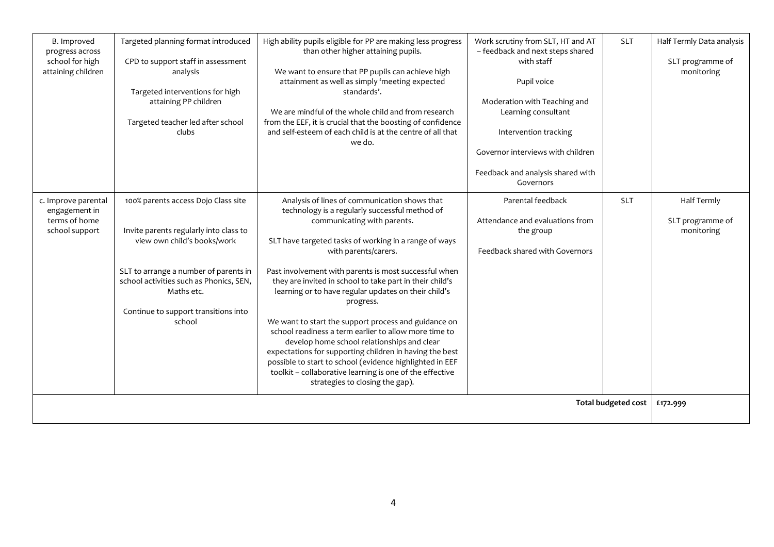| B. Improved<br>progress across<br>school for high<br>attaining children | Targeted planning format introduced<br>CPD to support staff in assessment<br>analysis<br>Targeted interventions for high<br>attaining PP children<br>Targeted teacher led after school<br>clubs                                                                  | High ability pupils eligible for PP are making less progress<br>than other higher attaining pupils.<br>We want to ensure that PP pupils can achieve high<br>attainment as well as simply 'meeting expected<br>standards'.<br>We are mindful of the whole child and from research<br>from the EEF, it is crucial that the boosting of confidence<br>and self-esteem of each child is at the centre of all that<br>we do.                                                                                                                                                                                                                                                                                                                                                                         | Work scrutiny from SLT, HT and AT<br>- feedback and next steps shared<br>with staff<br>Pupil voice<br>Moderation with Teaching and<br>Learning consultant<br>Intervention tracking<br>Governor interviews with children<br>Feedback and analysis shared with<br>Governors | <b>SLT</b> | Half Termly Data analysis<br>SLT programme of<br>monitoring |
|-------------------------------------------------------------------------|------------------------------------------------------------------------------------------------------------------------------------------------------------------------------------------------------------------------------------------------------------------|-------------------------------------------------------------------------------------------------------------------------------------------------------------------------------------------------------------------------------------------------------------------------------------------------------------------------------------------------------------------------------------------------------------------------------------------------------------------------------------------------------------------------------------------------------------------------------------------------------------------------------------------------------------------------------------------------------------------------------------------------------------------------------------------------|---------------------------------------------------------------------------------------------------------------------------------------------------------------------------------------------------------------------------------------------------------------------------|------------|-------------------------------------------------------------|
| c. Improve parental<br>engagement in<br>terms of home<br>school support | 100% parents access Dojo Class site<br>Invite parents regularly into class to<br>view own child's books/work<br>SLT to arrange a number of parents in<br>school activities such as Phonics, SEN,<br>Maths etc.<br>Continue to support transitions into<br>school | Analysis of lines of communication shows that<br>technology is a regularly successful method of<br>communicating with parents.<br>SLT have targeted tasks of working in a range of ways<br>with parents/carers.<br>Past involvement with parents is most successful when<br>they are invited in school to take part in their child's<br>learning or to have regular updates on their child's<br>progress.<br>We want to start the support process and guidance on<br>school readiness a term earlier to allow more time to<br>develop home school relationships and clear<br>expectations for supporting children in having the best<br>possible to start to school (evidence highlighted in EEF<br>toolkit - collaborative learning is one of the effective<br>strategies to closing the gap). | Parental feedback<br>Attendance and evaluations from<br>the group<br>Feedback shared with Governors                                                                                                                                                                       | <b>SLT</b> | <b>Half Termly</b><br>SLT programme of<br>monitoring        |
| <b>Total budgeted cost</b>                                              |                                                                                                                                                                                                                                                                  |                                                                                                                                                                                                                                                                                                                                                                                                                                                                                                                                                                                                                                                                                                                                                                                                 |                                                                                                                                                                                                                                                                           |            | £172.999                                                    |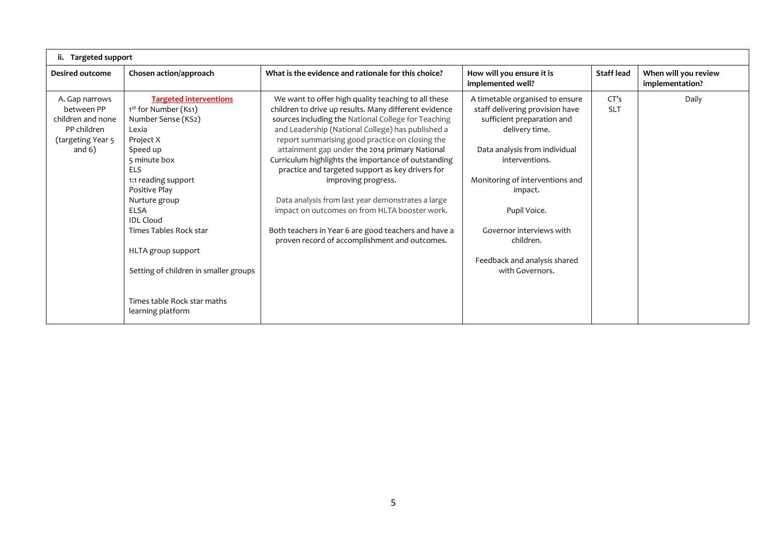| ii. Targeted support                                                                               |                                                                                                                                                                                                                                                                                                                                                                                      |                                                                                                                                                                                                                                                                                                                                                                                                                                                                                                                                                                                                                                                                                |                                                                                                                                                                                                                                                                                                                                 |                    |                                         |
|----------------------------------------------------------------------------------------------------|--------------------------------------------------------------------------------------------------------------------------------------------------------------------------------------------------------------------------------------------------------------------------------------------------------------------------------------------------------------------------------------|--------------------------------------------------------------------------------------------------------------------------------------------------------------------------------------------------------------------------------------------------------------------------------------------------------------------------------------------------------------------------------------------------------------------------------------------------------------------------------------------------------------------------------------------------------------------------------------------------------------------------------------------------------------------------------|---------------------------------------------------------------------------------------------------------------------------------------------------------------------------------------------------------------------------------------------------------------------------------------------------------------------------------|--------------------|-----------------------------------------|
| Desired outcome                                                                                    | Chosen action/approach                                                                                                                                                                                                                                                                                                                                                               | What is the evidence and rationale for this choice?                                                                                                                                                                                                                                                                                                                                                                                                                                                                                                                                                                                                                            | How will you ensure it is<br>implemented well?                                                                                                                                                                                                                                                                                  | Staff lead         | When will you review<br>implementation? |
| A. Gap narrows<br>between PP<br>children and none<br>PP children<br>(targeting Year 5)<br>and $6)$ | <b>Targeted interventions</b><br>1st for Number (Ks1)<br>Number Sense (KS2)<br>Lexia<br>Project X<br>Speed up<br>5 minute box<br><b>ELS</b><br>1:1 reading support<br>Positive Play<br>Nurture group<br><b>ELSA</b><br><b>IDL</b> Cloud<br>Times Tables Rock star<br>HLTA group support<br>Setting of children in smaller groups<br>Times table Rock star maths<br>learning platform | We want to offer high quality teaching to all these<br>children to drive up results. Many different evidence<br>sources including the National College for Teaching<br>and Leadership (National College) has published a<br>report summarising good practice on closing the<br>attainment gap under the 2014 primary National<br>Curriculum highlights the importance of outstanding<br>practice and targeted support as key drivers for<br>improving progress.<br>Data analysis from last year demonstrates a large<br>impact on outcomes on from HLTA booster work.<br>Both teachers in Year 6 are good teachers and have a<br>proven record of accomplishment and outcomes. | A timetable organised to ensure<br>staff delivering provision have<br>sufficient preparation and<br>delivery time.<br>Data analysis from individual<br>interventions.<br>Monitoring of interventions and<br>impact.<br>Pupil Voice.<br>Governor interviews with<br>children.<br>Feedback and analysis shared<br>with Governors. | CT's<br><b>SLT</b> | Daily                                   |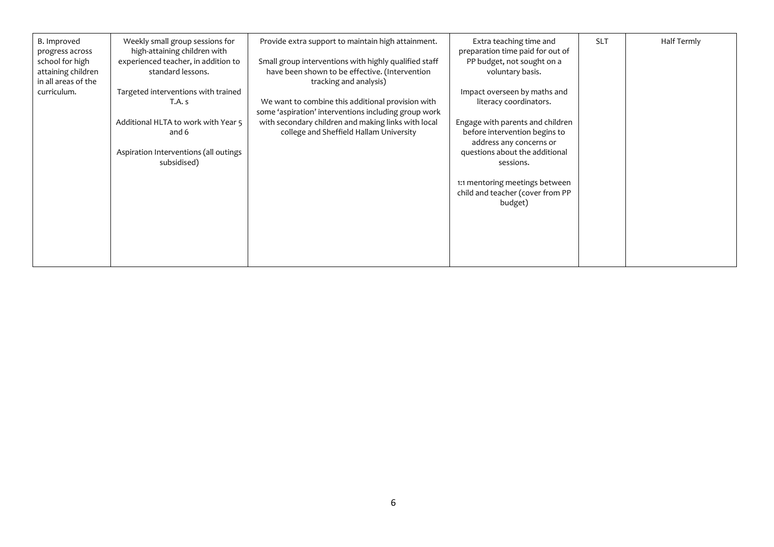| Half Termly |
|-------------|
|             |
|             |
|             |
|             |
|             |
|             |
|             |
|             |
|             |
|             |
|             |
|             |
|             |
|             |
|             |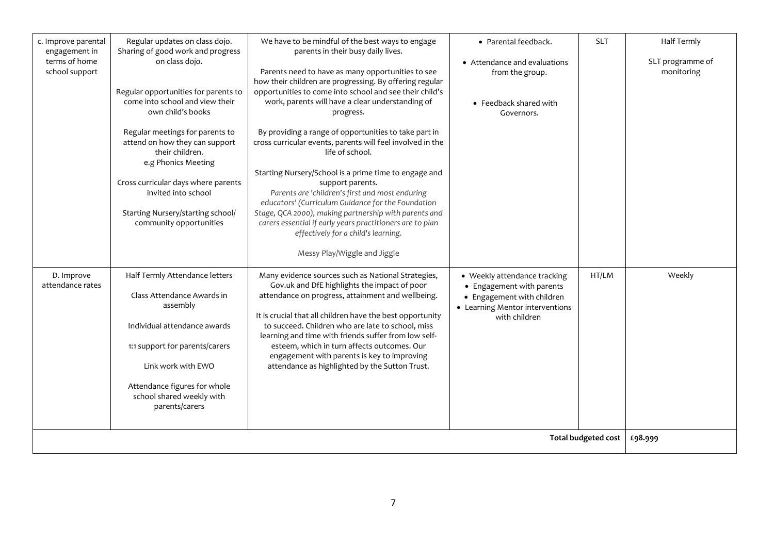| c. Improve parental<br>engagement in<br>terms of home<br>school support | Regular updates on class dojo.<br>Sharing of good work and progress<br>on class dojo.                                      | We have to be mindful of the best ways to engage<br>parents in their busy daily lives.<br>Parents need to have as many opportunities to see                                                                                                                                                              | • Parental feedback.<br>• Attendance and evaluations<br>from the group.                                                                     | <b>SLT</b>                 | Half Termly<br>SLT programme of<br>monitoring |
|-------------------------------------------------------------------------|----------------------------------------------------------------------------------------------------------------------------|----------------------------------------------------------------------------------------------------------------------------------------------------------------------------------------------------------------------------------------------------------------------------------------------------------|---------------------------------------------------------------------------------------------------------------------------------------------|----------------------------|-----------------------------------------------|
|                                                                         | Regular opportunities for parents to<br>come into school and view their<br>own child's books                               | how their children are progressing. By offering regular<br>opportunities to come into school and see their child's<br>work, parents will have a clear understanding of<br>progress.                                                                                                                      | • Feedback shared with<br>Governors.                                                                                                        |                            |                                               |
|                                                                         | Regular meetings for parents to<br>attend on how they can support<br>their children.<br>e.g Phonics Meeting                | By providing a range of opportunities to take part in<br>cross curricular events, parents will feel involved in the<br>life of school.                                                                                                                                                                   |                                                                                                                                             |                            |                                               |
|                                                                         | Cross curricular days where parents<br>invited into school<br>Starting Nursery/starting school/<br>community opportunities | Starting Nursery/School is a prime time to engage and<br>support parents.<br>Parents are 'children's first and most enduring<br>educators' (Curriculum Guidance for the Foundation<br>Stage, QCA 2000), making partnership with parents and<br>carers essential if early years practitioners are to plan |                                                                                                                                             |                            |                                               |
|                                                                         |                                                                                                                            | effectively for a child's learning.<br>Messy Play/Wiggle and Jiggle                                                                                                                                                                                                                                      |                                                                                                                                             |                            |                                               |
| D. Improve<br>attendance rates                                          | Half Termly Attendance letters<br>Class Attendance Awards in<br>assembly                                                   | Many evidence sources such as National Strategies,<br>Gov.uk and DfE highlights the impact of poor<br>attendance on progress, attainment and wellbeing.<br>It is crucial that all children have the best opportunity                                                                                     | • Weekly attendance tracking<br>• Engagement with parents<br>• Engagement with children<br>• Learning Mentor interventions<br>with children | HT/LM                      | Weekly                                        |
|                                                                         | Individual attendance awards<br>1:1 support for parents/carers<br>Link work with EWO                                       | to succeed. Children who are late to school, miss<br>learning and time with friends suffer from low self-<br>esteem, which in turn affects outcomes. Our<br>engagement with parents is key to improving<br>attendance as highlighted by the Sutton Trust.                                                |                                                                                                                                             |                            |                                               |
|                                                                         | Attendance figures for whole<br>school shared weekly with<br>parents/carers                                                |                                                                                                                                                                                                                                                                                                          |                                                                                                                                             |                            |                                               |
|                                                                         |                                                                                                                            |                                                                                                                                                                                                                                                                                                          |                                                                                                                                             | <b>Total budgeted cost</b> | £98.999                                       |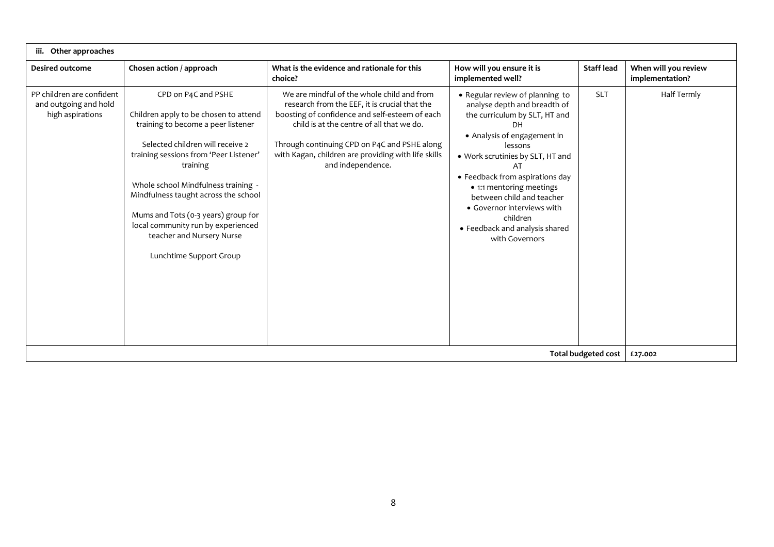| Other approaches                                                       |                                                                                                                                                                                                                                                                                                                                                                                                                  |                                                                                                                                                                                                                                                                                                                        |                                                                                                                                                                                                                                                                                                                                                                                |                            |                                         |
|------------------------------------------------------------------------|------------------------------------------------------------------------------------------------------------------------------------------------------------------------------------------------------------------------------------------------------------------------------------------------------------------------------------------------------------------------------------------------------------------|------------------------------------------------------------------------------------------------------------------------------------------------------------------------------------------------------------------------------------------------------------------------------------------------------------------------|--------------------------------------------------------------------------------------------------------------------------------------------------------------------------------------------------------------------------------------------------------------------------------------------------------------------------------------------------------------------------------|----------------------------|-----------------------------------------|
| <b>Desired outcome</b>                                                 | Chosen action / approach                                                                                                                                                                                                                                                                                                                                                                                         | What is the evidence and rationale for this<br>choice?                                                                                                                                                                                                                                                                 | How will you ensure it is<br>implemented well?                                                                                                                                                                                                                                                                                                                                 | <b>Staff lead</b>          | When will you review<br>implementation? |
| PP children are confident<br>and outgoing and hold<br>high aspirations | CPD on P4C and PSHE<br>Children apply to be chosen to attend<br>training to become a peer listener<br>Selected children will receive 2<br>training sessions from 'Peer Listener'<br>training<br>Whole school Mindfulness training -<br>Mindfulness taught across the school<br>Mums and Tots (0-3 years) group for<br>local community run by experienced<br>teacher and Nursery Nurse<br>Lunchtime Support Group | We are mindful of the whole child and from<br>research from the EEF, it is crucial that the<br>boosting of confidence and self-esteem of each<br>child is at the centre of all that we do.<br>Through continuing CPD on P4C and PSHE along<br>with Kagan, children are providing with life skills<br>and independence. | • Regular review of planning to<br>analyse depth and breadth of<br>the curriculum by SLT, HT and<br>• Analysis of engagement in<br>lessons<br>. Work scrutinies by SLT, HT and<br>AT<br>• Feedback from aspirations day<br>• 1:1 mentoring meetings<br>between child and teacher<br>• Governor interviews with<br>children<br>• Feedback and analysis shared<br>with Governors | <b>SLT</b>                 | <b>Half Termly</b>                      |
|                                                                        |                                                                                                                                                                                                                                                                                                                                                                                                                  |                                                                                                                                                                                                                                                                                                                        |                                                                                                                                                                                                                                                                                                                                                                                | <b>Total budgeted cost</b> | £27.002                                 |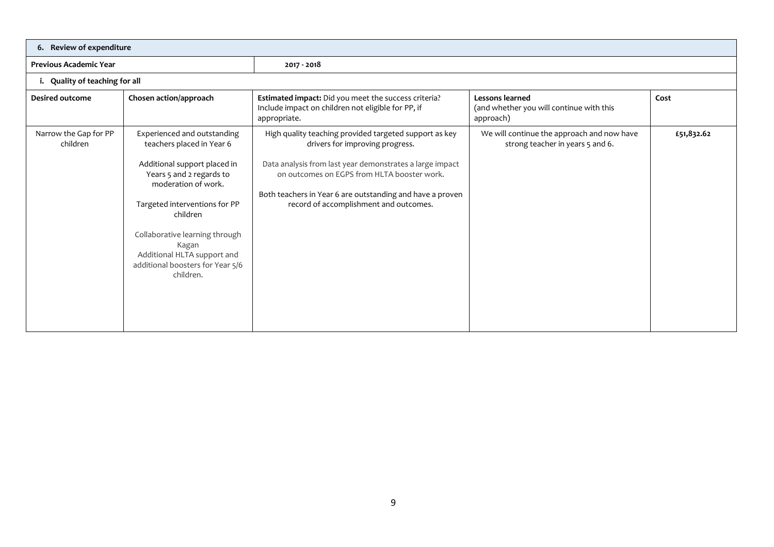|                                   | 6. Review of expenditure                                                                                                                                                                                                                                                                                            |                                                                                                                                                                                                                                                                                                             |                                                                                |            |  |  |
|-----------------------------------|---------------------------------------------------------------------------------------------------------------------------------------------------------------------------------------------------------------------------------------------------------------------------------------------------------------------|-------------------------------------------------------------------------------------------------------------------------------------------------------------------------------------------------------------------------------------------------------------------------------------------------------------|--------------------------------------------------------------------------------|------------|--|--|
| <b>Previous Academic Year</b>     |                                                                                                                                                                                                                                                                                                                     | 2017 - 2018                                                                                                                                                                                                                                                                                                 |                                                                                |            |  |  |
| i. Quality of teaching for all    |                                                                                                                                                                                                                                                                                                                     |                                                                                                                                                                                                                                                                                                             |                                                                                |            |  |  |
| <b>Desired outcome</b>            | Chosen action/approach                                                                                                                                                                                                                                                                                              | Estimated impact: Did you meet the success criteria?<br>Include impact on children not eligible for PP, if<br>appropriate.                                                                                                                                                                                  | Lessons learned<br>(and whether you will continue with this<br>approach)       | Cost       |  |  |
| Narrow the Gap for PP<br>children | Experienced and outstanding<br>teachers placed in Year 6<br>Additional support placed in<br>Years 5 and 2 regards to<br>moderation of work.<br>Targeted interventions for PP<br>children<br>Collaborative learning through<br>Kagan<br>Additional HLTA support and<br>additional boosters for Year 5/6<br>children. | High quality teaching provided targeted support as key<br>drivers for improving progress.<br>Data analysis from last year demonstrates a large impact<br>on outcomes on EGPS from HLTA booster work.<br>Both teachers in Year 6 are outstanding and have a proven<br>record of accomplishment and outcomes. | We will continue the approach and now have<br>strong teacher in years 5 and 6. | £51,832.62 |  |  |